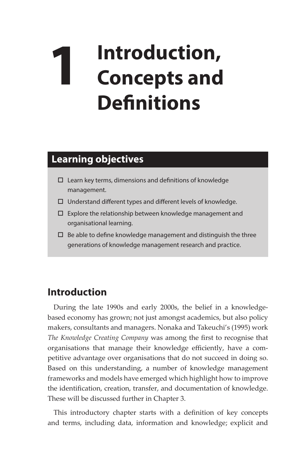## **1 Introduction, Concepts and Definitions**

## **Learning objectives**

- $\square$  Learn key terms, dimensions and definitions of knowledge management.
- $\Box$  Understand different types and different levels of knowledge.
- $\square$  Explore the relationship between knowledge management and organisational learning.
- $\square$  Be able to define knowledge management and distinguish the three generations of knowledge management research and practice.

## **Introduction**

During the late 1990s and early 2000s, the belief in a knowledgebased economy has grown; not just amongst academics, but also policy makers, consultants and managers. Nonaka and Takeuchi's (1995) work *The Knowledge Creating Company* was among the first to recognise that organisations that manage their knowledge efficiently, have a competitive advantage over organisations that do not succeed in doing so. Based on this understanding, a number of knowledge management frameworks and models have emerged which highlight how to improve the identification, creation, transfer, and documentation of knowledge. These will be discussed further in Chapter 3.

This introductory chapter starts with a definition of key concepts and terms, including data, information and knowledge; explicit and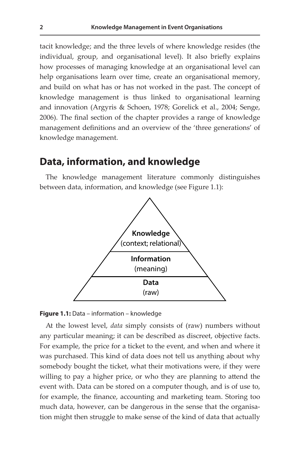tacit knowledge; and the three levels of where knowledge resides (the individual, group, and organisational level). It also briefly explains how processes of managing knowledge at an organisational level can help organisations learn over time, create an organisational memory, and build on what has or has not worked in the past. The concept of knowledge management is thus linked to organisational learning and innovation (Argyris & Schoen, 1978; Gorelick et al., 2004; Senge, 2006). The final section of the chapter provides a range of knowledge management definitions and an overview of the 'three generations' of knowledge management.

## **Data, information, and knowledge 2 Knowledge Management in Event Organisations**

The knowledge management literature commonly distinguishes between data, information, and knowledge (see Figure 1.1):





At the lowest level, *data* simply consists of (raw) numbers without any particular meaning; it can be described as discreet, objective facts. For example, the price for a ticket to the event, and when and where it was purchased. This kind of data does not tell us anything about why somebody bought the ticket, what their motivations were, if they were willing to pay a higher price, or who they are planning to attend the event with. Data can be stored on a computer though, and is of use to, for example, the finance, accounting and marketing team. Storing too much data, however, can be dangerous in the sense that the organisation might then struggle to make sense of the kind of data that actually